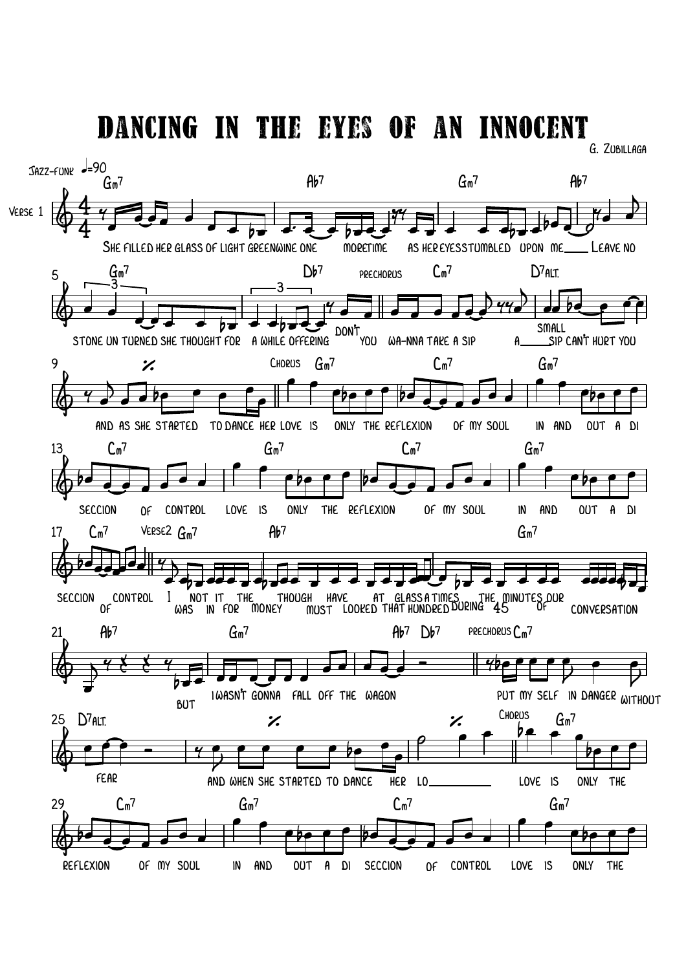Dancing in the eyes of an innocent

G. Zubillaga